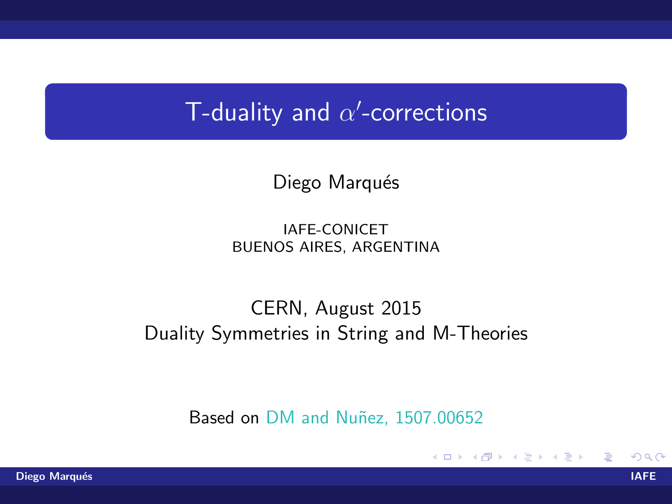## T-duality and  $\alpha'$ -corrections

### Diego Marqués

IAFE-CONICET BUENOS AIRES, ARGENTINA

### CERN, August 2015 Duality Symmetries in String and M-Theories

Based on DM and Nuñez, 1507.00652

イロト イ母 トイラト イラト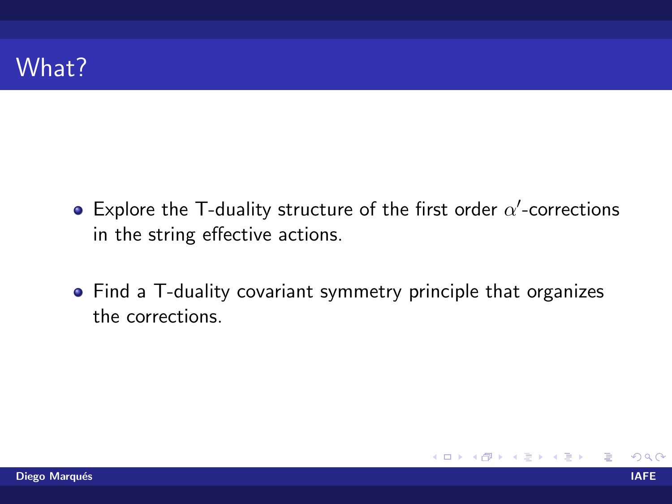- Explore the T-duality structure of the first order  $\alpha'$ -corrections in the string effective actions.
- Find a T-duality covariant symmetry principle that organizes the corrections.

**K ロ ▶ K 何 ▶ K**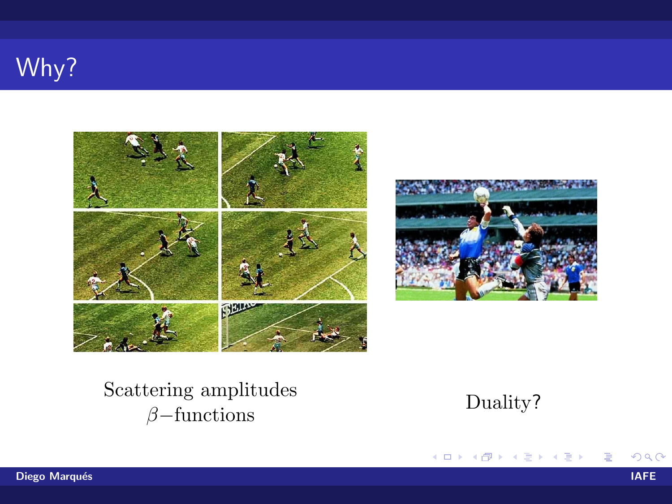# Why?





### Scattering amplitudes  $\beta$ -functions



K ロト K 倒 ト K ヨ ト K ヨ ト

哇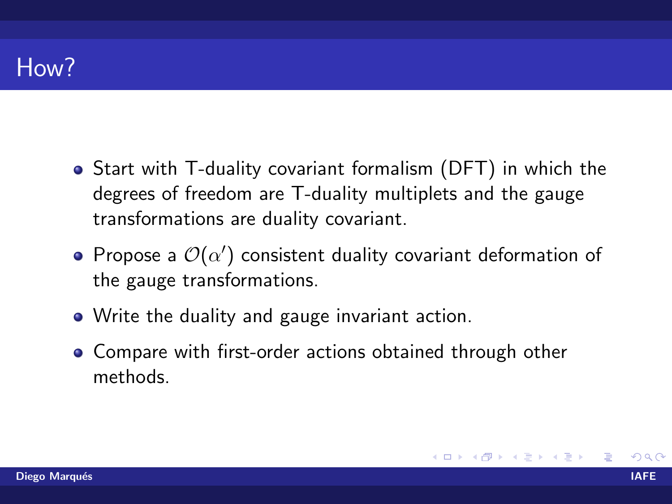## How?

- Start with T-duality covariant formalism (DFT) in which the degrees of freedom are T-duality multiplets and the gauge transformations are duality covariant.
- Propose a  $\mathcal{O}(\alpha')$  consistent duality covariant deformation of the gauge transformations.
- Write the duality and gauge invariant action.
- Compare with first-order actions obtained through other methods.

**K ロ ト K 何 ト K ヨ ト K**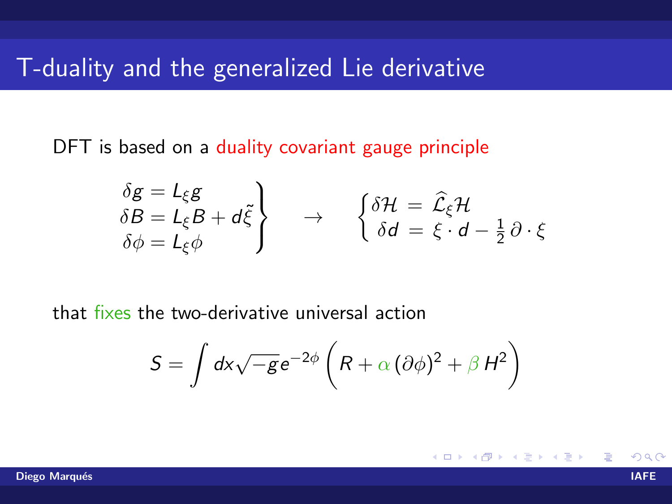### T-duality and the generalized Lie derivative

DFT is based on a duality covariant gauge principle

$$
\begin{aligned}\n\delta g &= L_{\xi} g \\
\delta B &= L_{\xi} B + d \tilde{\xi} \\
\delta \phi &= L_{\xi} \phi\n\end{aligned}\n\rightarrow \n\begin{cases}\n\delta \mathcal{H} &= \hat{\mathcal{L}}_{\xi} \mathcal{H} \\
\delta d &= \xi \cdot d - \frac{1}{2} \partial \cdot \xi\n\end{cases}
$$

that fixes the two-derivative universal action

$$
S = \int dx \sqrt{-g} e^{-2\phi} \left( R + \alpha \left( \partial \phi \right)^2 + \beta H^2 \right)
$$

4 0 8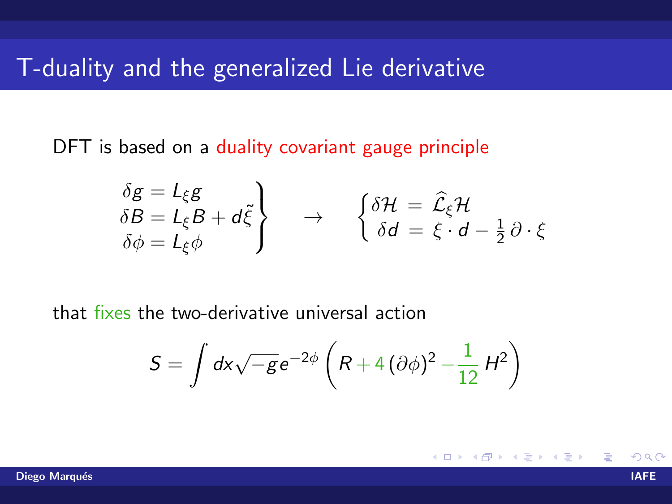### T-duality and the generalized Lie derivative

DFT is based on a duality covariant gauge principle

$$
\begin{aligned}\n\delta g &= L_{\xi} g \\
\delta B &= L_{\xi} B + d \tilde{\xi} \\
\delta \phi &= L_{\xi} \phi\n\end{aligned}\n\rightarrow \n\begin{cases}\n\delta \mathcal{H} &= \hat{\mathcal{L}}_{\xi} \mathcal{H} \\
\delta d &= \xi \cdot d - \frac{1}{2} \partial \cdot \xi\n\end{cases}
$$

that fixes the two-derivative universal action

$$
S = \int dx \sqrt{-g} e^{-2\phi} \left( R + 4 \left( \partial \phi \right)^2 - \frac{1}{12} H^2 \right)
$$

4 0 8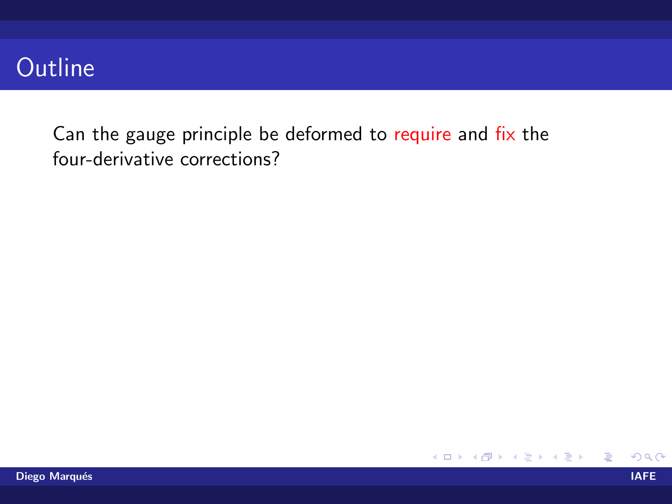## **Outline**

Can the gauge principle be deformed to require and fix the four-derivative corrections?

哇

メロメ メ母メ メミメ メミメ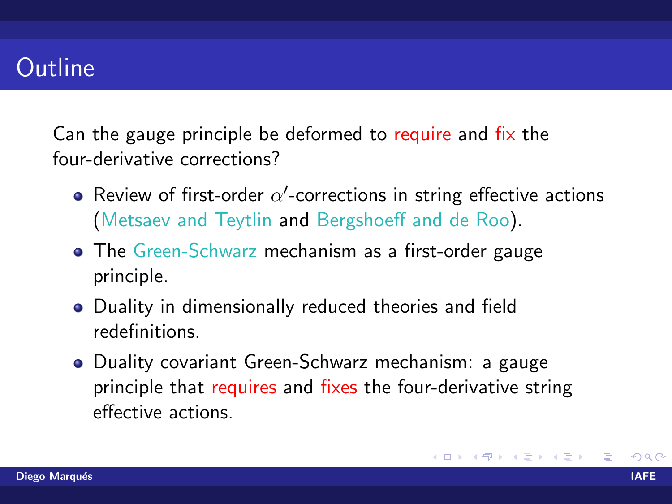### **Outline**

Can the gauge principle be deformed to require and fix the four-derivative corrections?

- Review of first-order  $\alpha'$ -corrections in string effective actions (Metsaev and Teytlin and Bergshoeff and de Roo).
- The Green-Schwarz mechanism as a first-order gauge principle.
- Duality in dimensionally reduced theories and field redefinitions.
- Duality covariant Green-Schwarz mechanism: a gauge principle that requires and fixes the four-derivative string effective actions.

イロト イ押ト イヨト イヨト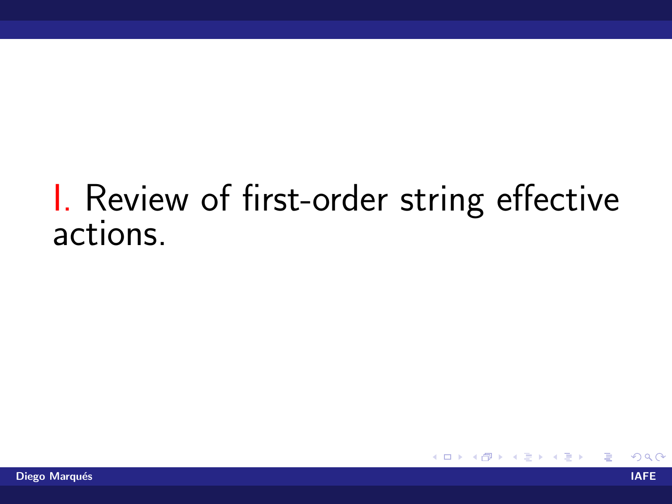# I. Review of first-order string effective actions.

イロト イ母 トイヨ トイヨト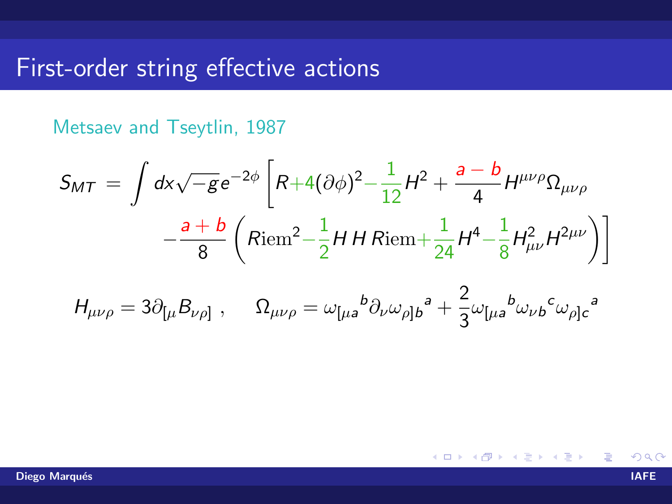Metsaev and Tseytlin, 1987

$$
S_{MT} = \int dx \sqrt{-g} e^{-2\phi} \left[ R + 4(\partial \phi)^2 - \frac{1}{12} H^2 + \frac{a - b}{4} H^{\mu \nu \rho} \Omega_{\mu \nu \rho} - \frac{a + b}{8} \left( Riem^2 - \frac{1}{2} H H Riem + \frac{1}{24} H^4 - \frac{1}{8} H^2_{\mu \nu} H^{2\mu \nu} \right) \right]
$$

$$
H_{\mu\nu\rho} = 3\partial_{\lbrack\mu}B_{\nu\rho\rbrack} \ , \quad \ \Omega_{\mu\nu\rho} = \omega_{\lbrack\mu a}{}^{b} \partial_{\nu} \omega_{\rho\rbrack b}{}^{a} + \frac{2}{3} \omega_{\lbrack\mu a}{}^{b} \omega_{\nu b}{}^{c} \omega_{\rho\rbrack c}{}^{a}
$$

K ロト K 倒 ト K ヨ ト K ヨ ト  $290$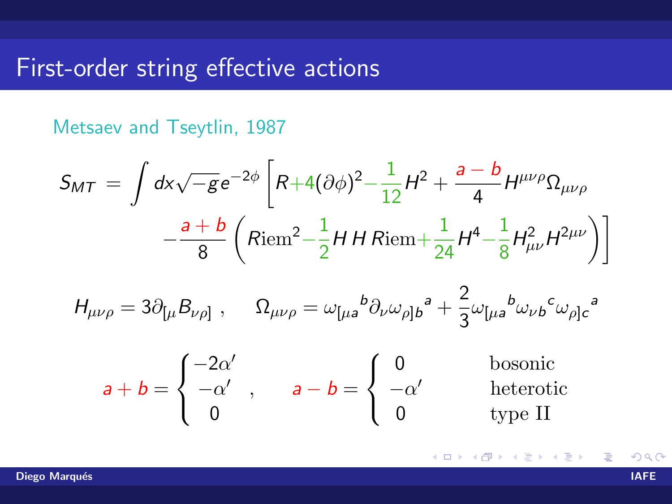Metsaev and Tseytlin, 1987

$$
S_{MT} = \int dx \sqrt{-g} e^{-2\phi} \left[ R + 4(\partial \phi)^2 - \frac{1}{12} H^2 + \frac{a - b}{4} H^{\mu \nu \rho} \Omega_{\mu \nu \rho} - \frac{a + b}{8} \left( Riem^2 - \frac{1}{2} H H Riem + \frac{1}{24} H^4 - \frac{1}{8} H^2_{\mu \nu} H^{2\mu \nu} \right) \right]
$$

$$
H_{\mu\nu\rho} = 3\partial_{\lbrack\mu}B_{\nu\rho\rbrack} \ , \quad \ \Omega_{\mu\nu\rho} = \omega_{\lbrack\mu a}{}^{b} \partial_{\nu} \omega_{\rho\rbrack b}{}^{a} + \frac{2}{3} \omega_{\lbrack\mu a}{}^{b} \omega_{\nu b}{}^{c} \omega_{\rho\rbrack c}{}^{a}
$$

$$
a + b = \begin{cases} -2\alpha' \\ -\alpha' \\ 0 \end{cases}, \quad a - b = \begin{cases} 0 \\ -\alpha' \\ 0 \end{cases}
$$
 **before before**

K ロト K 倒 ト K ヨ ト K ヨ ト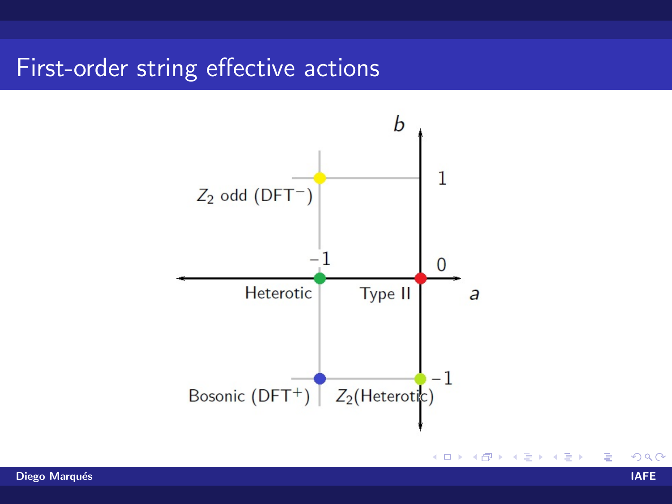

Diego Marqués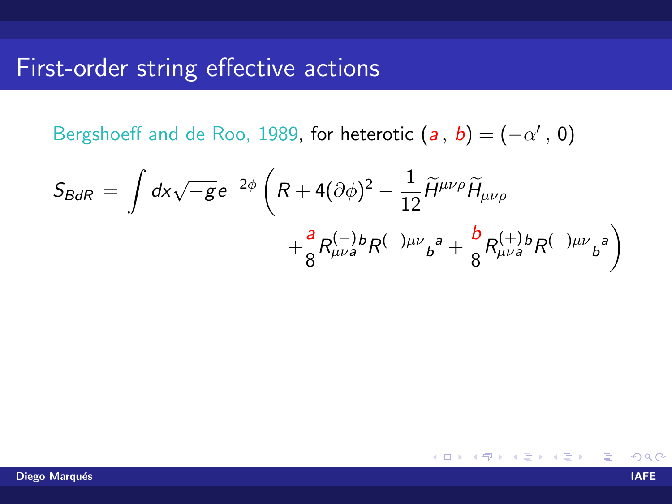Bergshoeff and de Roo, 1989, for heterotic  $(a, b) = (-\alpha', 0)$ 

$$
S_{BdR} = \int dx \sqrt{-g} e^{-2\phi} \left( R + 4(\partial \phi)^2 - \frac{1}{12} \widetilde{H}^{\mu\nu\rho} \widetilde{H}_{\mu\nu\rho} + \frac{a}{8} R^{(-)b}_{\mu\nu a} R^{(-)\mu\nu} b^a + \frac{b}{8} R^{(+)b}_{\mu\nu a} R^{(+)\mu\nu} b^a \right)
$$

K ロト K 倒 ト K ヨ ト K ヨ ト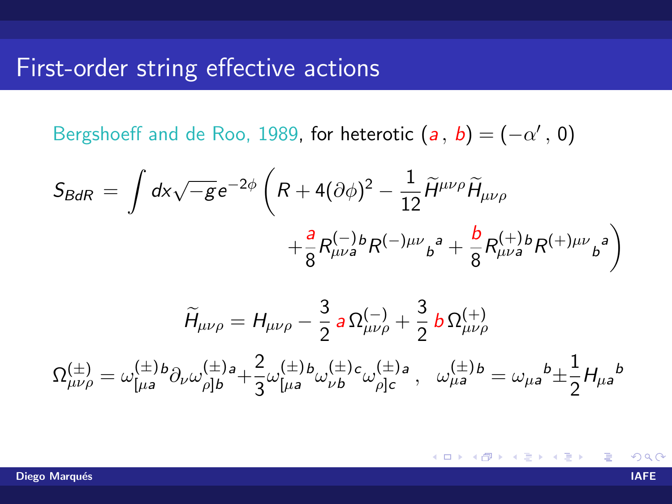Bergshoeff and de Roo, 1989, for heterotic  $(a, b) = (-\alpha', 0)$ 

$$
S_{BdR} = \int dx \sqrt{-g} e^{-2\phi} \left( R + 4(\partial \phi)^2 - \frac{1}{12} \widetilde{H}^{\mu\nu\rho} \widetilde{H}_{\mu\nu\rho} + \frac{a}{8} R^{(-)b}_{\mu\nu a} R^{(-)\mu\nu} b^a + \frac{b}{8} R^{(+)b}_{\mu\nu a} R^{(+)\mu\nu} b^a \right)
$$

$$
\widetilde{H}_{\mu\nu\rho} = H_{\mu\nu\rho} - \frac{3}{2} a \Omega^{(-)}_{\mu\nu\rho} + \frac{3}{2} b \Omega^{(+)}_{\mu\nu\rho}
$$
\n
$$
\Omega^{(\pm)}_{\mu\nu\rho} = \omega^{(\pm)}_{[\mu a} b \partial_{\nu} \omega^{(\pm)}_{\rho]b} + \frac{2}{3} \omega^{(\pm)}_{[\mu a} b \omega^{(\pm)}_{\nu b} c \omega^{(\pm)}_{\rho]c} , \quad \omega^{(\pm)}_{\mu a} b = \omega_{\mu a} b \pm \frac{1}{2} H_{\mu a} b
$$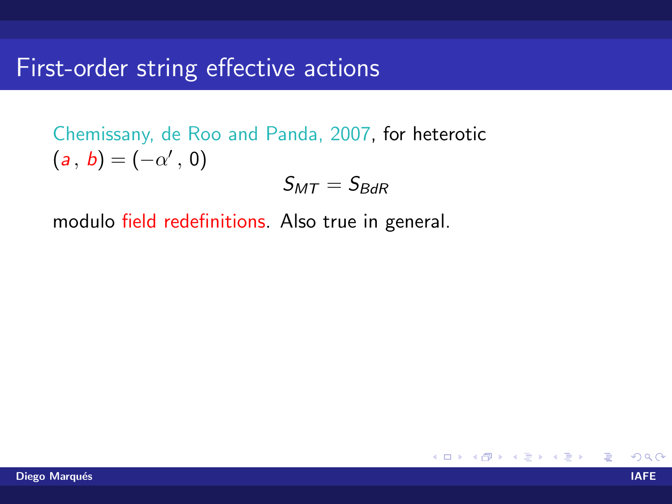Chemissany, de Roo and Panda, 2007, for heterotic  $(a, b) = (-\alpha', 0)$ 

$$
\mathcal{S}_{MT}=\mathcal{S}_{BdR}
$$

modulo field redefinitions. Also true in general.

メロメ メ母メ メミメ メミメ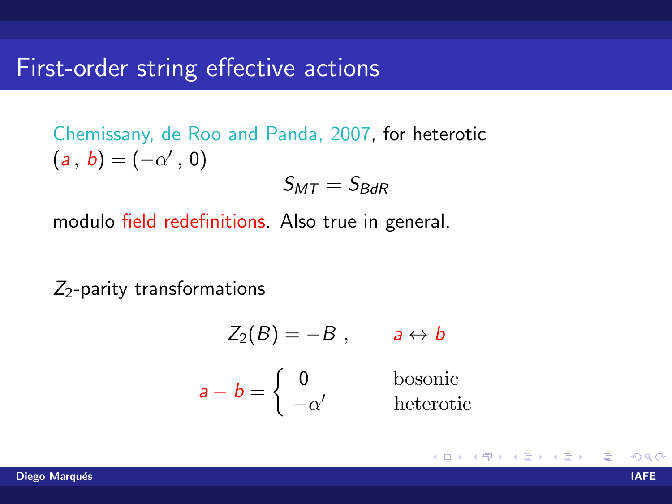Chemissany, de Roo and Panda, 2007, for heterotic  $(a, b) = (-\alpha', 0)$ 

$$
\mathcal{S}_{MT}=\mathcal{S}_{BdR}
$$

modulo field redefinitions. Also true in general.

 $Z_2$ -parity transformations

$$
Z_2(B) = -B, \t a \leftrightarrow b
$$
  

$$
a - b = \begin{cases} 0 & \text{bosonic} \\ -\alpha' & \text{heterotic} \end{cases}
$$

K ロト K 倒 ト K ヨ ト K ヨ ト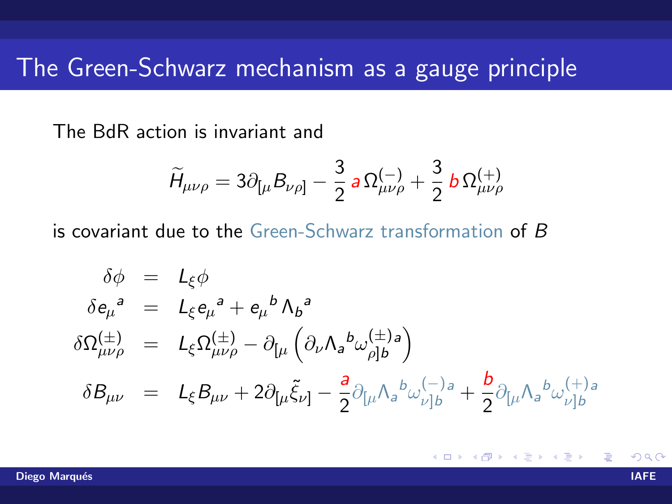### The Green-Schwarz mechanism as a gauge principle

The BdR action is invariant and

$$
\widetilde{H}_{\mu\nu\rho}=3\partial_{\lbrack\mu}B_{\nu\rho\rbrack}-\frac{3}{2}\,a\,\Omega^{(-)}_{\mu\nu\rho}+\frac{3}{2}\,b\,\Omega^{(+)}_{\mu\nu\rho}
$$

is covariant due to the Green-Schwarz transformation of B

$$
\delta \phi = L_{\xi} \phi
$$
\n
$$
\delta e_{\mu}^{a} = L_{\xi} e_{\mu}^{a} + e_{\mu}^{b} \Lambda_{b}^{a}
$$
\n
$$
\delta \Omega_{\mu\nu\rho}^{(\pm)} = L_{\xi} \Omega_{\mu\nu\rho}^{(\pm)} - \partial_{[\mu} \left( \partial_{\nu} \Lambda_{a}^{b} \omega_{\rho]b}^{(\pm)} \right)
$$
\n
$$
\delta B_{\mu\nu} = L_{\xi} B_{\mu\nu} + 2 \partial_{[\mu} \tilde{\xi}_{\nu]} - \frac{a}{2} \partial_{[\mu} \Lambda_{a}^{b} \omega_{\nu]b}^{(-)} + \frac{b}{2} \partial_{[\mu} \Lambda_{a}^{b} \omega_{\nu]b}^{(+)}.
$$

**K ロ ▶ K 何 ▶ K**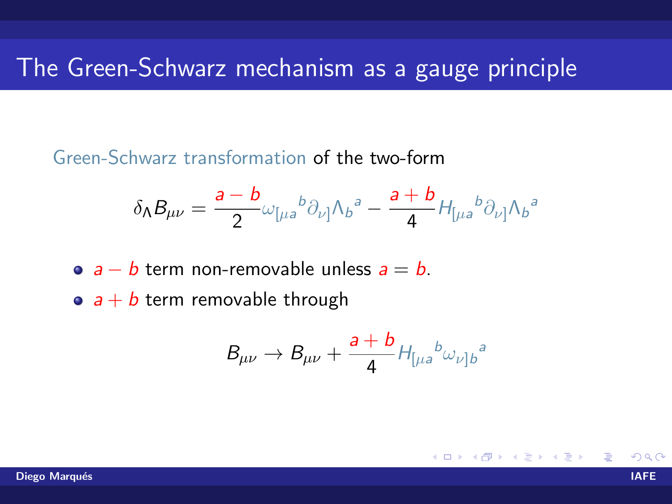## The Green-Schwarz mechanism as a gauge principle

Green-Schwarz transformation of the two-form

$$
\delta_{\Lambda}B_{\mu\nu}=\frac{a-b}{2}\omega_{\lbrack\mu a}{}^{b}\partial_{\nu\rbrack}\Lambda_{b}{}^{a}-\frac{a+b}{4}H_{\lbrack\mu a}{}^{b}\partial_{\nu\rbrack}\Lambda_{b}{}^{a}
$$

•  $a - b$  term non-removable unless  $a = b$ .

•  $a + b$  term removable through

$$
B_{\mu\nu}\rightarrow B_{\mu\nu}+\frac{a+b}{4}H_{\left[\mu a\right]}b_{\omega\nu\right]b}^{\ \ a}
$$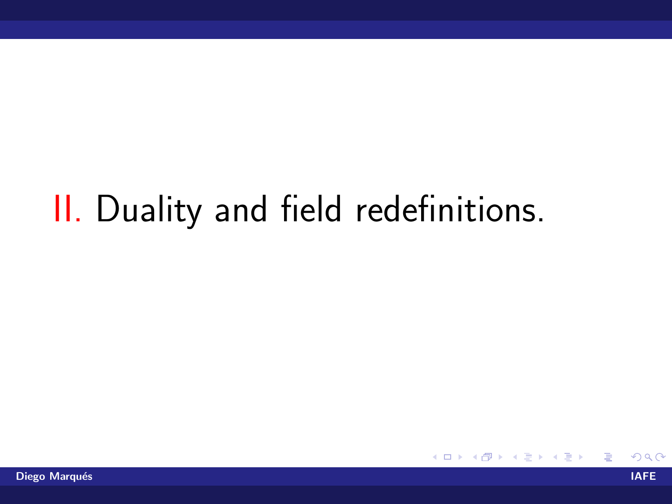# II. Duality and field redefinitions.

哇

メロメ メ母メ メミメ メミメ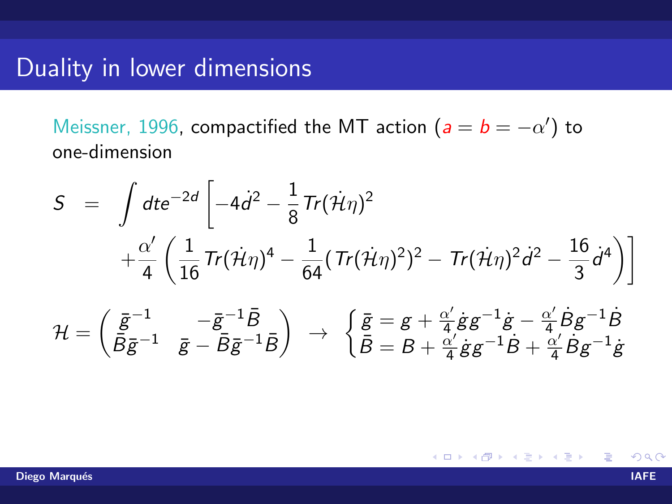### Duality in lower dimensions

Meissner, 1996, compactified the MT action  $(a = b = -\alpha')$  to one-dimension

$$
S = \int dt e^{-2d} \left[ -4\dot{d}^2 - \frac{1}{8} \text{Tr}(\dot{\mathcal{H}} \eta)^2 + \frac{\alpha'}{4} \left( \frac{1}{16} \text{Tr}(\dot{\mathcal{H}} \eta)^4 - \frac{1}{64} (\text{Tr}(\dot{\mathcal{H}} \eta)^2)^2 - \text{Tr}(\dot{\mathcal{H}} \eta)^2 \dot{d}^2 - \frac{16}{3} \dot{d}^4 \right) \right]
$$
  

$$
\mathcal{H} = \begin{pmatrix} \bar{g}^{-1} & -\bar{g}^{-1} \bar{B} \\ \bar{B} \bar{g}^{-1} & \bar{g} - \bar{B} \bar{g}^{-1} \bar{B} \end{pmatrix} \rightarrow \begin{cases} \bar{g} = g + \frac{\alpha'}{4} \dot{g} g^{-1} \dot{g} - \frac{\alpha'}{4} \dot{B} g^{-1} \dot{B} \\ \bar{B} = B + \frac{\alpha'}{4} \dot{g} g^{-1} \dot{B} + \frac{\alpha'}{4} \dot{B} g^{-1} \dot{g} \end{cases}
$$

メロメ メ母メ メミメ メミメ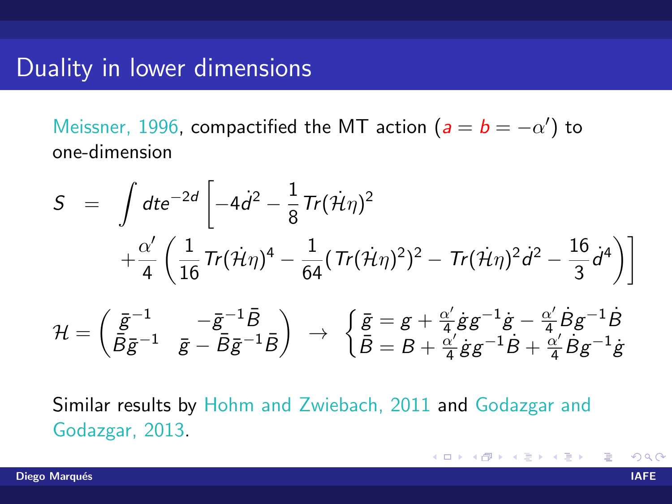### Duality in lower dimensions

Meissner, 1996, compactified the MT action  $(a = b = -\alpha')$  to one-dimension

$$
S = \int dt e^{-2d} \left[ -4\dot{d}^2 - \frac{1}{8} \text{Tr}(\dot{\mathcal{H}} \eta)^2 + \frac{\alpha'}{4} \left( \frac{1}{16} \text{Tr}(\dot{\mathcal{H}} \eta)^4 - \frac{1}{64} (\text{Tr}(\dot{\mathcal{H}} \eta)^2)^2 - \text{Tr}(\dot{\mathcal{H}} \eta)^2 \dot{d}^2 - \frac{16}{3} \dot{d}^4 \right) \right]
$$
  

$$
\mathcal{H} = \begin{pmatrix} \bar{g}^{-1} & -\bar{g}^{-1} \bar{B} \\ \bar{B} \bar{g}^{-1} & \bar{g} - \bar{B} \bar{g}^{-1} \bar{B} \end{pmatrix} \rightarrow \begin{cases} \bar{g} = g + \frac{\alpha'}{4} \dot{g} g^{-1} \dot{g} - \frac{\alpha'}{4} \dot{B} g^{-1} \dot{B} \\ \bar{B} = B + \frac{\alpha'}{4} \dot{g} g^{-1} \dot{B} + \frac{\alpha'}{4} \dot{B} g^{-1} \dot{g} \end{cases}
$$

Similar results by Hohm and Zwiebach, 2011 and Godazgar and Godazgar, 2013.

K ロト K 倒 ト K ヨ ト K ヨ ト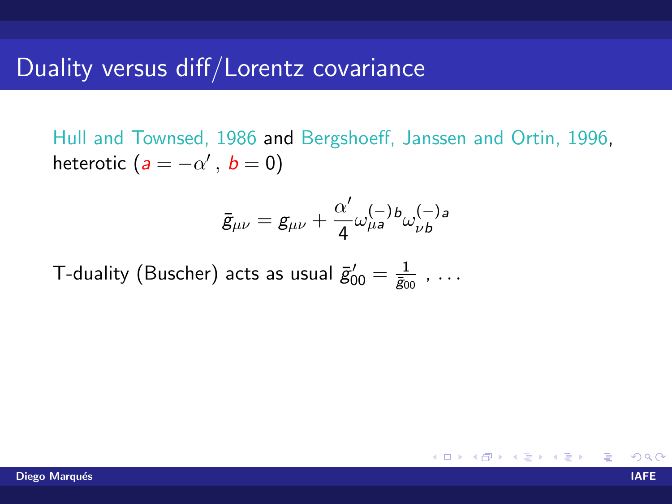### Duality versus diff/Lorentz covariance

Hull and Townsed, 1986 and Bergshoeff, Janssen and Ortin, 1996, heterotic  $(a = -\alpha', b = 0)$ 

$$
\bar{g}_{\mu\nu}=g_{\mu\nu}+\frac{\alpha'}{4}\omega^{(-)}_{\mu a}{}^{b}\omega^{(-)}_{\nu b}{}^{a}
$$

T-duality (Buscher) acts as usual  $\bar g^\prime_{00} = \frac{1}{\bar g_0}$  $\frac{1}{\bar{g}_{00}}$  , ...

メロメ メ母メ メミメ メミメ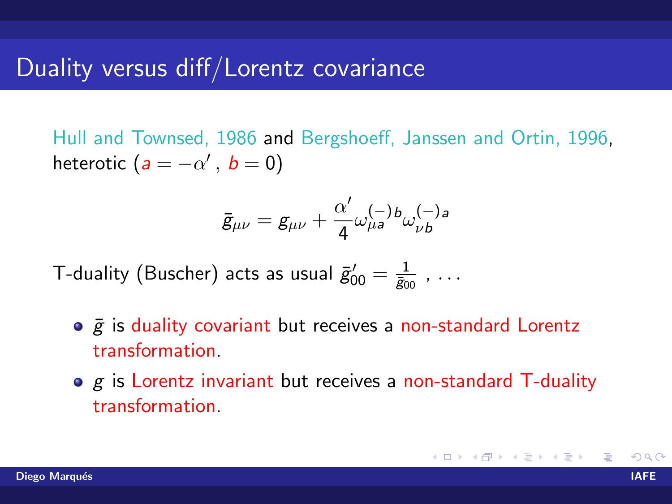### Duality versus diff/Lorentz covariance

Hull and Townsed, 1986 and Bergshoeff, Janssen and Ortin, 1996, heterotic  $(a = -\alpha', b = 0)$ 

$$
\bar{g}_{\mu\nu}=g_{\mu\nu}+\frac{\alpha'}{4}\omega^{(-)}_{\mu a}{}^{b}\omega^{(-)}_{\nu b}{}^{a}
$$

T-duality (Buscher) acts as usual  $\bar g^\prime_{00} = \frac{1}{\bar g_0}$  $\frac{1}{\bar{g}_{00}}$  , ...

- $\circ$   $\bar{g}$  is duality covariant but receives a non-standard Lorentz transformation.
- $\bullet$  g is Lorentz invariant but receives a non-standard T-duality transformation.

K ロ ▶ K 個 ▶ K 君 ▶ K 君 ▶ ...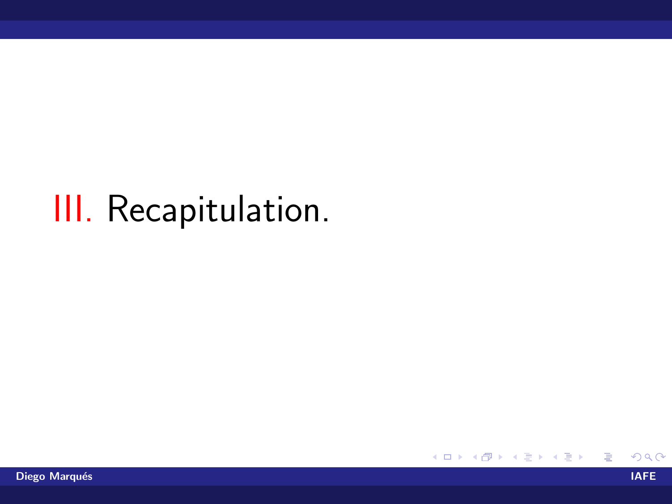# III. Recapitulation.

ŧ

イロト イ部 トイヨ トイヨト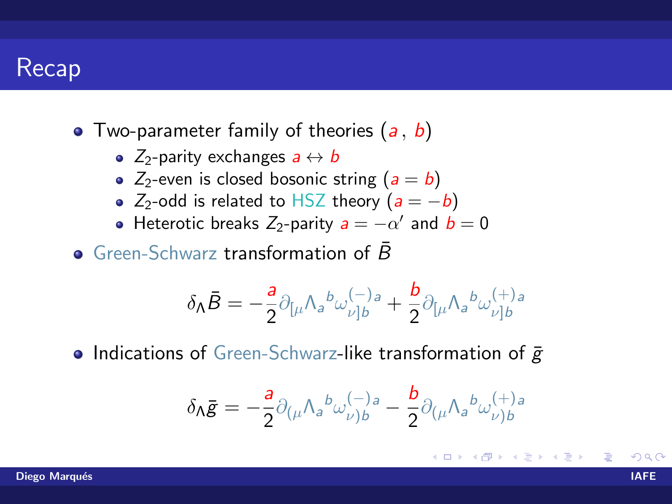### **Recap**

- Two-parameter family of theories  $(a, b)$ 
	- $Z_2$ -parity exchanges  $a \leftrightarrow b$
	- $Z_2$ -even is closed bosonic string  $(a = b)$
	- Z<sub>2</sub>-odd is related to HSZ theory ( $a = -b$ )
	- Heterotic breaks  $Z_2$ -parity  $a = -\alpha'$  and  $b = 0$

Green-Schwarz transformation of  $\bar{B}$ 

$$
\delta_{\Lambda}\bar{B}=-\frac{a}{2}\partial_{\lbrack\mu}\Lambda_{a}{}^{b}\omega_{\nu\vert b}^{(-)}{}^{a}+\frac{b}{2}\partial_{\lbrack\mu}\Lambda_{a}{}^{b}\omega_{\nu\vert b}^{(+)}{}^{a}
$$

• Indications of Green-Schwarz-like transformation of  $\bar{g}$ 

$$
\delta_{\Lambda} \bar{g} = -\frac{a}{2} \partial_{(\mu} \Lambda_a{}^b \omega^{(-)}_{\nu) b} - \frac{b}{2} \partial_{(\mu} \Lambda_a{}^b \omega^{(+)}_{\nu) b}
$$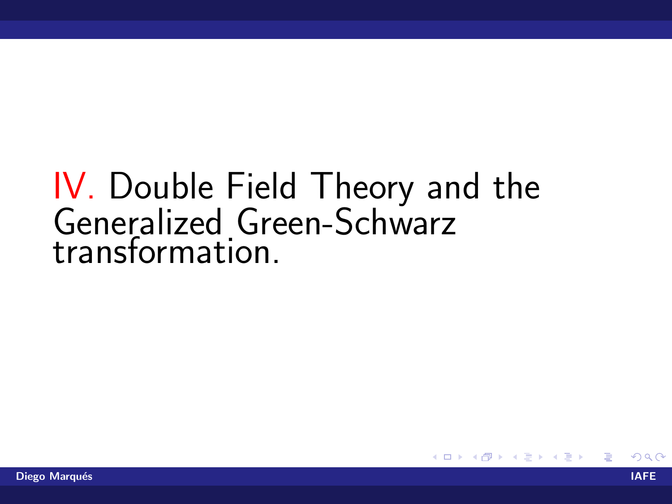# IV. Double Field Theory and the Generalized Green-Schwarz<br>transformation.

4 0 8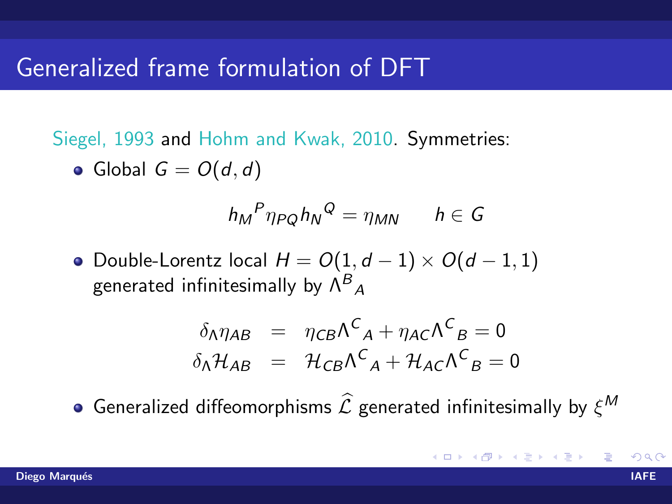### Generalized frame formulation of DFT

Siegel, 1993 and Hohm and Kwak, 2010. Symmetries:

• Global  $G = O(d, d)$ 

$$
h_M{}^P \eta_{PQ} h_N{}^Q = \eta_{MN} \qquad h \in G
$$

 $\bullet$  Double-Lorentz local  $H = O(1, d - 1) \times O(d - 1, 1)$ generated infinitesimally by  $\Lambda^B_{\phantom{B}A}$ 

$$
\delta_{\Lambda}\eta_{AB} = \eta_{CB}\Lambda^C{}_A + \eta_{AC}\Lambda^C{}_B = 0
$$
  

$$
\delta_{\Lambda}\mathcal{H}_{AB} = \mathcal{H}_{CB}\Lambda^C{}_A + \mathcal{H}_{AC}\Lambda^C{}_B = 0
$$

Generalized diffeomorphisms  $\widehat{\mathcal{L}}$  generated infinitesimally by  $\xi^{\textit{M}}$ 

**K ロ ▶ K 御 ▶ K 唐 ▶ K 唐 ▶**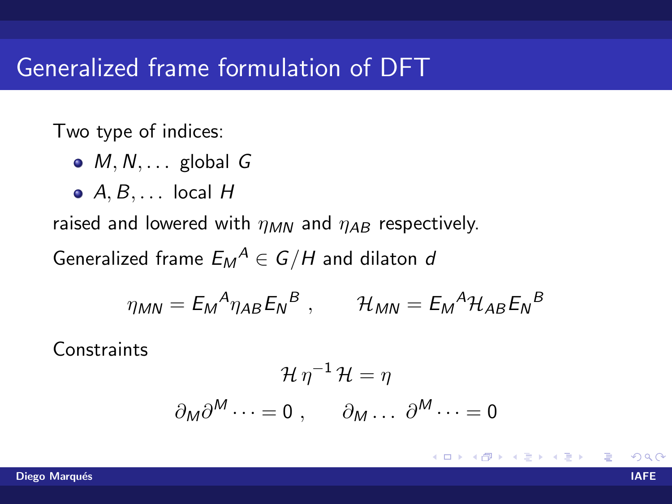### Generalized frame formulation of DFT

Two type of indices:

- $\bullet$  M, N, ... global G
- $\bullet$  A, B,  $\ldots$  local H

raised and lowered with  $\eta_{MN}$  and  $\eta_{AB}$  respectively.

Generalized frame  $E_M{}^A\in G/H$  and dilaton  $d$ 

$$
\eta_{MN} = E_M{}^A \eta_{AB} E_N{}^B , \qquad \mathcal{H}_{MN} = E_M{}^A \mathcal{H}_{AB} E_N{}^B
$$

**Constraints** 

$$
\mathcal{H}\eta^{-1}\mathcal{H} = \eta
$$

$$
\partial_M \partial^M \cdots = 0 \ , \qquad \partial_M \cdots \partial^M \cdots = 0
$$

K ロト K 倒 ト K ヨ ト K ヨ ト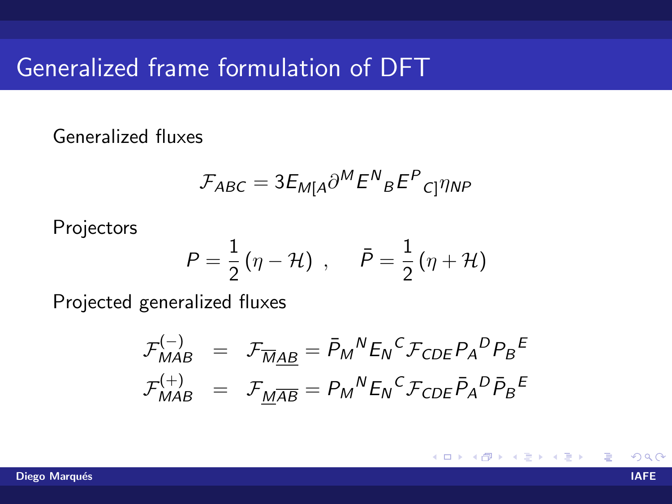### Generalized frame formulation of DFT

Generalized fluxes

$$
\mathcal{F}_{ABC} = 3E_{M[A} \partial^M E^N{}_B E^P{}_{C]} \eta_{NP}
$$

Projectors

$$
P = \frac{1}{2}(\eta - \mathcal{H}) , \quad \bar{P} = \frac{1}{2}(\eta + \mathcal{H})
$$

Projected generalized fluxes

$$
\mathcal{F}_{MAB}^{(-)} = \mathcal{F}_{\overline{M}\underline{AB}} = \bar{P}_M{}^N E_N{}^C \mathcal{F}_{CDE} P_A{}^D P_B{}^E
$$
  

$$
\mathcal{F}_{MAB}^{(+)} = \mathcal{F}_{\underline{M}\overline{AB}} = P_M{}^N E_N{}^C \mathcal{F}_{CDE} \bar{P}_A{}^D \bar{P}_B{}^E
$$

∢ □ ▶ ∢@ ▶ ∢

경어 지금에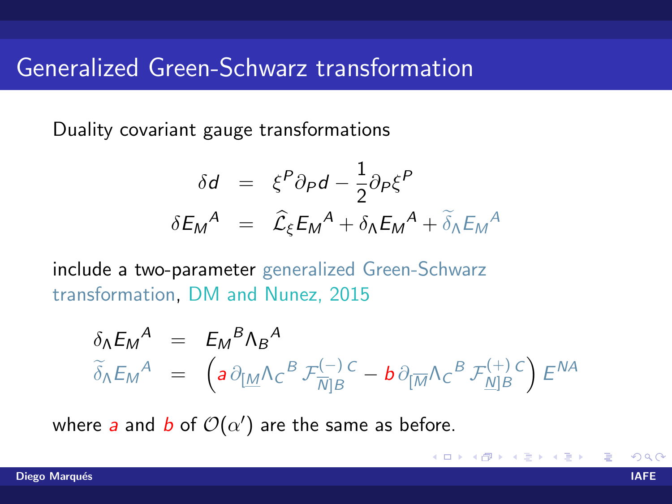### Generalized Green-Schwarz transformation

Duality covariant gauge transformations

$$
\delta d = \xi^P \partial_P d - \frac{1}{2} \partial_P \xi^P
$$
  

$$
\delta E_M^A = \hat{\mathcal{L}}_{\xi} E_M^A + \delta \Lambda E_M^A + \tilde{\delta}_{\Lambda} E_M^A
$$

include a two-parameter generalized Green-Schwarz transformation, DM and Nunez, 2015

$$
\delta_{\Lambda} E_M^A = E_M^B \Lambda_B^A
$$
\n
$$
\tilde{\delta}_{\Lambda} E_M^A = \left( a \partial_{\underline{[M]}} \Lambda_C^B \mathcal{F}_{\overline{N} \underline{]}B}^{(-)}^C - b \partial_{\underline{[M]}} \Lambda_C^B \mathcal{F}_{\underline{N} \underline{]}B}^{(+)}^C \right) E^{NA}
$$

where a and b of  $\mathcal{O}(\alpha')$  are the same as before.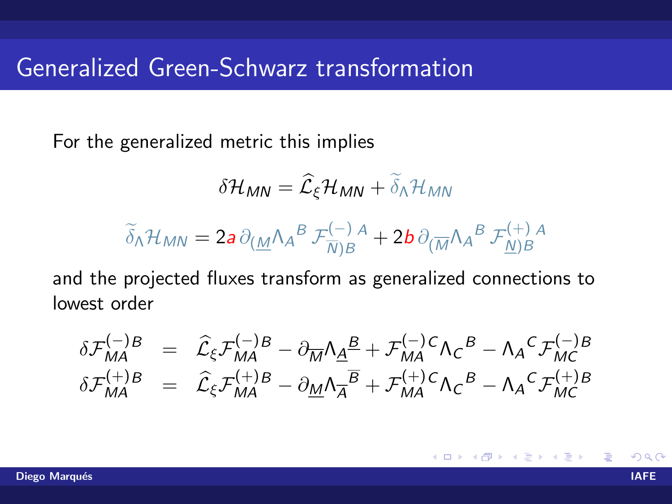### Generalized Green-Schwarz transformation

For the generalized metric this implies

$$
\delta \mathcal{H}_{MN} = \widehat{\mathcal{L}}_{\xi} \mathcal{H}_{MN} + \widetilde{\delta}_{\Lambda} \mathcal{H}_{MN}
$$

$$
\widetilde{\delta}_{\Lambda} \mathcal{H}_{MN} = 2a \, \partial_{(\underline{M}} \Lambda_A{}^B \, \mathcal{F}_{\overline{N}\mid B}^{(-)}{}^A + 2b \, \partial_{(\overline{M}} \Lambda_A{}^B \, \mathcal{F}_{\underline{N}\mid B}^{(+)}{}^A)
$$

and the projected fluxes transform as generalized connections to lowest order

$$
\delta \mathcal{F}_{MA}^{(-)B} = \hat{\mathcal{L}}_{\xi} \mathcal{F}_{MA}^{(-)B} - \partial_{\overline{M}} \Lambda_{\underline{A}}{}^{\underline{B}} + \mathcal{F}_{MA}^{(-)C} \Lambda_{C}{}^{\underline{B}} - \Lambda_{A}{}^{\underline{C}} \mathcal{F}_{MC}^{(-)B}
$$
\n
$$
\delta \mathcal{F}_{MA}^{(+)B} = \hat{\mathcal{L}}_{\xi} \mathcal{F}_{MA}^{(+)B} - \partial_{\underline{M}} \Lambda_{\overline{A}}{}^{\overline{B}} + \mathcal{F}_{MA}^{(+)C} \Lambda_{C}{}^{\underline{B}} - \Lambda_{A}{}^{\underline{C}} \mathcal{F}_{MC}^{(+)B}
$$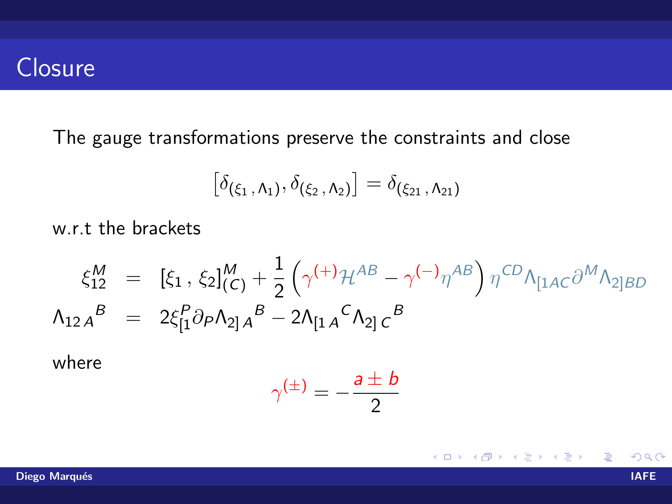### **Closure**

The gauge transformations preserve the constraints and close

$$
\big[\delta_{(\xi_1, \Lambda_1)}, \delta_{(\xi_2, \Lambda_2)}\big] = \delta_{(\xi_{21}, \Lambda_{21})}
$$

w.r.t the brackets

$$
\xi_{12}^{M} = [\xi_{1}, \xi_{2}]_{(C)}^{M} + \frac{1}{2} (\gamma^{(+)}\mathcal{H}^{AB} - \gamma^{(-)}\eta^{AB}) \eta^{CD} \Lambda_{[1AC}\partial^{M}\Lambda_{2]BD}
$$
  

$$
\Lambda_{12A}^{B} = 2\xi_{[1}^{P} \partial_{P}\Lambda_{2]A}^{B} - 2\Lambda_{[1A}^{C}\Lambda_{2]C}^{B}
$$

where

$$
\gamma^{(\pm)} = -\frac{a \pm b}{2}
$$

**K ロ ト K 伊 ト K** 

目

경어 지금에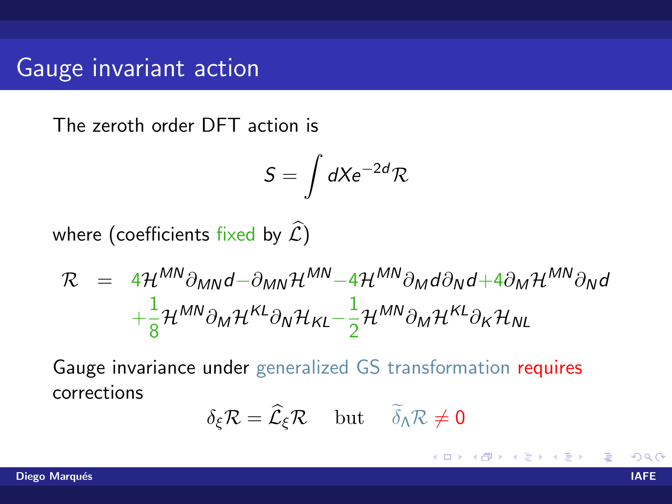## Gauge invariant action

The zeroth order DFT action is

$$
S=\int dX e^{-2d}\mathcal{R}
$$

where (coefficients fixed by  $\widehat{\mathcal{L}}$ )

$$
\mathcal{R} = 4\mathcal{H}^{MN}\partial_{MN}d - \partial_{MN}\mathcal{H}^{MN} - 4\mathcal{H}^{MN}\partial_{M}d\partial_{N}d + 4\partial_{M}\mathcal{H}^{MN}\partial_{N}d + \frac{1}{8}\mathcal{H}^{MN}\partial_{M}\mathcal{H}^{KL}\partial_{N}\mathcal{H}_{KL} - \frac{1}{2}\mathcal{H}^{MN}\partial_{M}\mathcal{H}^{KL}\partial_{K}\mathcal{H}_{NL}
$$

Gauge invariance under generalized GS transformation requires corrections

$$
\delta_{\xi}\mathcal{R}=\widehat{\mathcal{L}}_{\xi}\mathcal{R}\quad\text{ but }\quad\widetilde{\delta}_{\Lambda}\mathcal{R}\neq0
$$

**∢ ロ ▶ - ィ <sub>ロ</sub> ▶** - ィ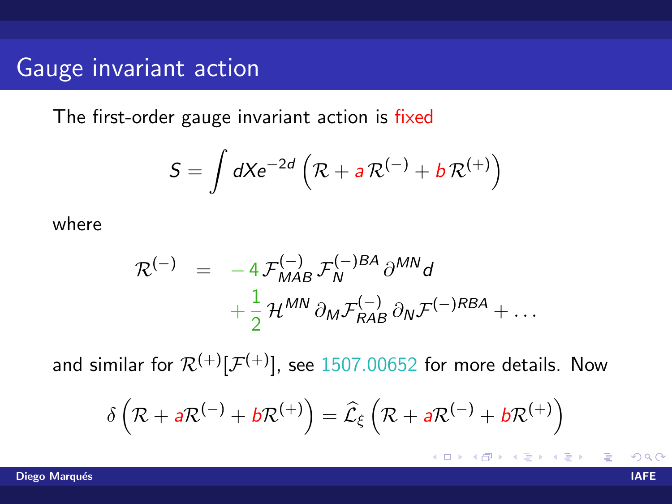### Gauge invariant action

The first-order gauge invariant action is fixed

$$
S = \int dX e^{-2d} \left( \mathcal{R} + a \mathcal{R}^{(-)} + b \mathcal{R}^{(+)} \right)
$$

where

$$
\mathcal{R}^{(-)} = -4 \mathcal{F}_{MAB}^{(-)} \mathcal{F}_{N}^{(-)BA} \partial^{MN} d
$$

$$
+ \frac{1}{2} \mathcal{H}^{MN} \partial_{M} \mathcal{F}_{RAB}^{(-)} \partial_{N} \mathcal{F}^{(-)RBA} + \dots
$$

and similar for  $\mathcal{R}^{(+)}[\mathcal{F}^{(+)}]$ , see 1507.00652 for more details. Now

$$
\delta\left(\mathcal{R} + a\mathcal{R}^{(-)} + b\mathcal{R}^{(+)}\right) = \widehat{\mathcal{L}}_{\xi}\left(\mathcal{R} + a\mathcal{R}^{(-)} + b\mathcal{R}^{(+)}\right)
$$

Diego Marqués in 1999, a constitue de la constitución de la constitución de la constitución de la constitución

造

イロメ イ部メ イ君メ イ君メー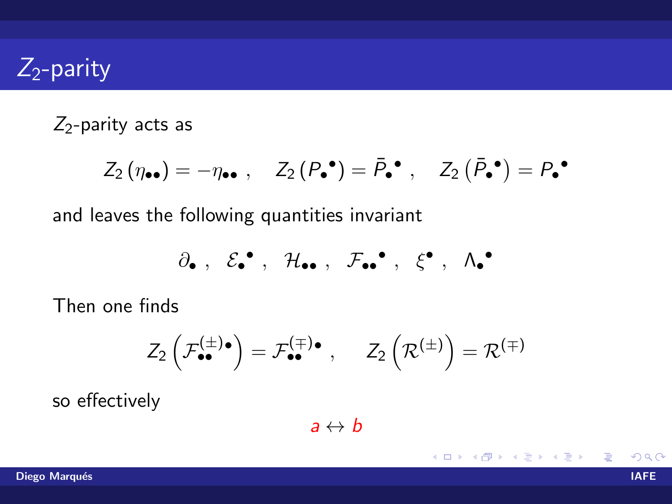## $Z_2$ -parity

### $Z_2$ -parity acts as

$$
Z_2(\eta_{\bullet \bullet}) = -\eta_{\bullet \bullet} , \quad Z_2(P_{\bullet}^{\bullet}) = \bar{P}_{\bullet}^{\bullet} , \quad Z_2(\bar{P}_{\bullet}^{\bullet}) = P_{\bullet}^{\bullet}
$$

and leaves the following quantities invariant

$$
\partial_\bullet\ ,\ \ \mathcal{E}_\bullet^\bullet\ ,\ \ \mathcal{H}_{\bullet\bullet}\ ,\ \ \mathcal{F}_{\bullet\bullet}^\bullet\ ,\ \ \xi^\bullet\ ,\ \ \Lambda_\bullet^\bullet
$$

Then one finds

$$
\mathcal{Z}_2\left(\mathcal{F}_{\bullet\bullet}^{(\pm)}{}^\bullet\right)=\mathcal{F}_{\bullet\bullet}^{(\mp)}{}^\bullet\ ,\quad \ \mathcal{Z}_2\left(\mathcal{R}^{(\pm)}\right)=\mathcal{R}^{(\mp)}
$$

so effectively

 $a \leftrightarrow b$ 

K ロト K 倒 ト K ヨ ト K ヨ ト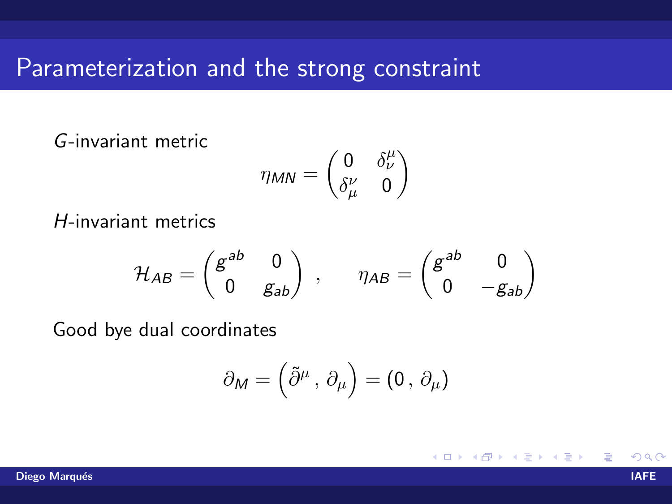### Parameterization and the strong constraint

### G-invariant metric

$$
\eta_{MN} = \begin{pmatrix} 0 & \delta^{\mu}_{\nu} \\ \delta^{\nu}_{\mu} & 0 \end{pmatrix}
$$

H-invariant metrics

$$
\mathcal{H}_{AB} = \begin{pmatrix} g^{ab} & 0 \\ 0 & g_{ab} \end{pmatrix} , \qquad \eta_{AB} = \begin{pmatrix} g^{ab} & 0 \\ 0 & -g_{ab} \end{pmatrix}
$$

Good bye dual coordinates

$$
\partial_M = \left(\tilde{\partial}^\mu\,,\,\partial_\mu\right) = \left(0\,,\,\partial_\mu\right)
$$

**K ロ ▶ K 何 ▶ K**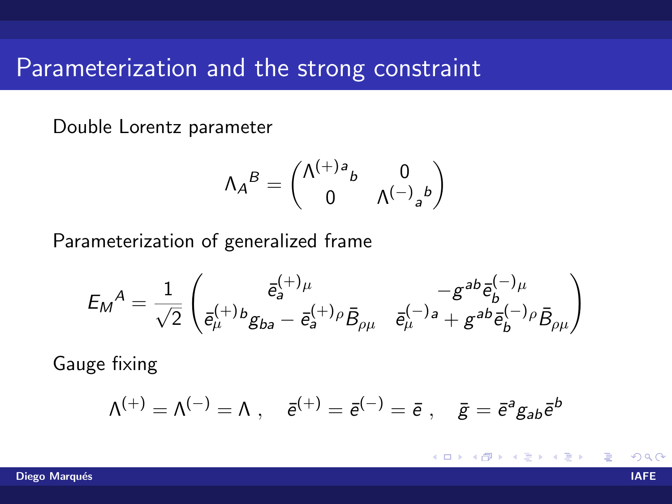### Parameterization and the strong constraint

Double Lorentz parameter

$$
\Lambda_A{}^B = \begin{pmatrix} \Lambda^{(+)}{}^a{}_b & 0 \\ 0 & \Lambda^{(-)}{}_a{}^b \end{pmatrix}
$$

Parameterization of generalized frame

$$
{\mathcal{E}_M}^A = \frac{1}{\sqrt{2}} \begin{pmatrix} \bar{e}_a^{(+) \mu} & - g^{ab} \bar{e}_b^{(-) \mu} \\ \bar{e}_\mu^{(+) b} g_{ba} - \bar{e}_a^{(+) \rho} \bar{B}_{\rho \mu} & \bar{e}_\mu^{(-) a} + g^{ab} \bar{e}_b^{(-) \rho} \bar{B}_{\rho \mu} \end{pmatrix}
$$

Gauge fixing

$$
\Lambda^{(+)}=\Lambda^{(-)}=\Lambda\;,\quad \bar{e}^{(+)}=\bar{e}^{(-)}=\bar{e}\;,\quad \bar{g}=\bar{e}^a g_{ab}\bar{e}^b
$$

**4 ロ ▶ 4 包** つひひ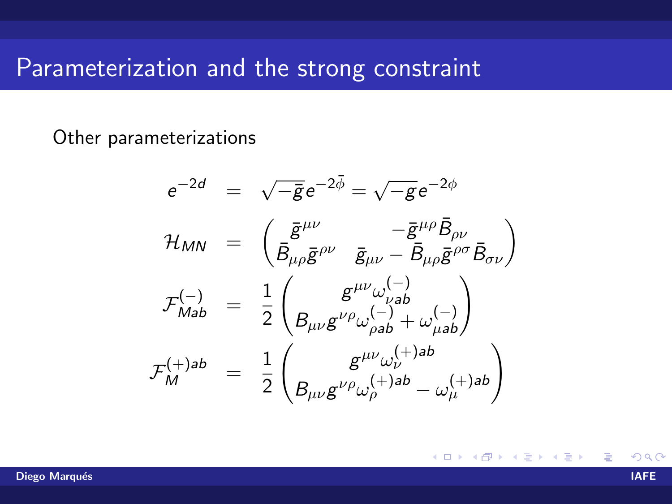### Parameterization and the strong constraint

Other parameterizations

$$
e^{-2d} = \sqrt{-\bar{g}}e^{-2\bar{\phi}} = \sqrt{-g}e^{-2\phi}
$$
  
\n
$$
\mathcal{H}_{MN} = \begin{pmatrix} \bar{g}^{\mu\nu} & -\bar{g}^{\mu\rho}\bar{B}_{\rho\nu} \\ \bar{B}_{\mu\rho}\bar{g}^{\rho\nu} & \bar{g}_{\mu\nu} - \bar{B}_{\mu\rho}\bar{g}^{\rho\sigma}\bar{B}_{\sigma\nu} \end{pmatrix}
$$
  
\n
$$
\mathcal{F}_{Mab}^{(-)} = \frac{1}{2} \begin{pmatrix} g^{\mu\nu}\omega_{\nu ab}^{(-)} \\ B_{\mu\nu}g^{\nu\rho}\omega_{\rho ab}^{(-)} + \omega_{\mu ab}^{(-)} \end{pmatrix}
$$
  
\n
$$
\mathcal{F}_{M}^{(+)ab} = \frac{1}{2} \begin{pmatrix} g^{\mu\nu}\omega_{\nu}^{(+)ab} \\ B_{\mu\nu}g^{\nu\rho}\omega_{\rho}^{(+)ab} - \omega_{\mu}^{(+)ab} \end{pmatrix}
$$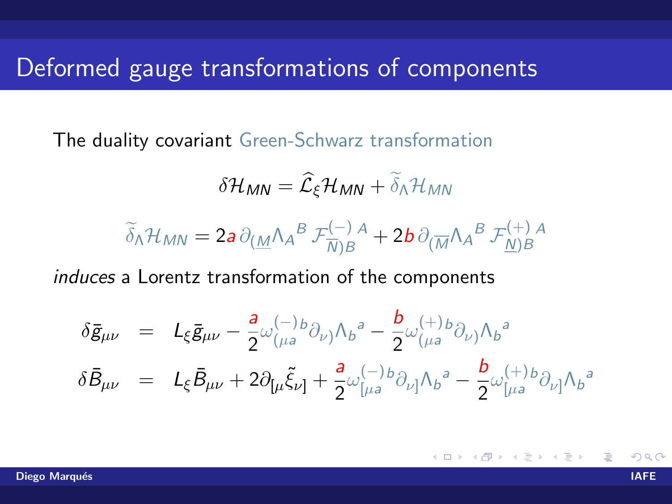### Deformed gauge transformations of components

The duality covariant Green-Schwarz transformation

$$
\delta \mathcal{H}_{MN} = \widehat{\mathcal{L}}_{\xi} \mathcal{H}_{MN} + \widetilde{\delta}_{\Lambda} \mathcal{H}_{MN}
$$

$$
\widetilde{\delta}_{\Lambda} \mathcal{H}_{MN} = 2a \, \partial_{(\underline{M}} \Lambda_A{}^B \, \mathcal{F}_{\overline{N}\mid B}^{(-)}{}^A + 2b \, \partial_{(\overline{M}} \Lambda_A{}^B \, \mathcal{F}_{\underline{N}\mid B}^{(+)}{}^A
$$

induces a Lorentz transformation of the components

$$
\delta \bar{g}_{\mu\nu} = L_{\xi} \bar{g}_{\mu\nu} - \frac{a}{2} \omega_{(\mu a}^{(-)} b \partial_{\nu)} \Lambda_b^a - \frac{b}{2} \omega_{(\mu a}^{(+)} b \partial_{\nu)} \Lambda_b^a
$$
  

$$
\delta \bar{B}_{\mu\nu} = L_{\xi} \bar{B}_{\mu\nu} + 2 \partial_{[\mu} \tilde{\xi}_{\nu]} + \frac{a}{2} \omega_{[\mu a}^{(-)} b \partial_{\nu]} \Lambda_b^a - \frac{b}{2} \omega_{[\mu a}^{(+)} b \partial_{\nu]} \Lambda_b^a
$$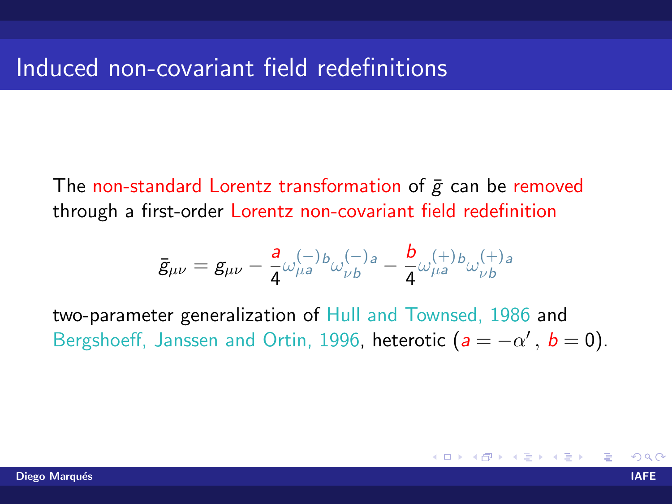The non-standard Lorentz transformation of  $\bar{g}$  can be removed through a first-order Lorentz non-covariant field redefinition

$$
\bar{g}_{\mu\nu} = g_{\mu\nu} - \frac{a}{4} \omega_{\mu a}^{(-)} b_{\omega}^{(-)} b_{\nu b} - \frac{b}{4} \omega_{\mu a}^{(+)} b_{\omega}^{(+)} b_{\nu b}
$$

two-parameter generalization of Hull and Townsed, 1986 and Bergshoeff, Janssen and Ortin, 1996, heterotic  $(a = -\alpha', b = 0)$ .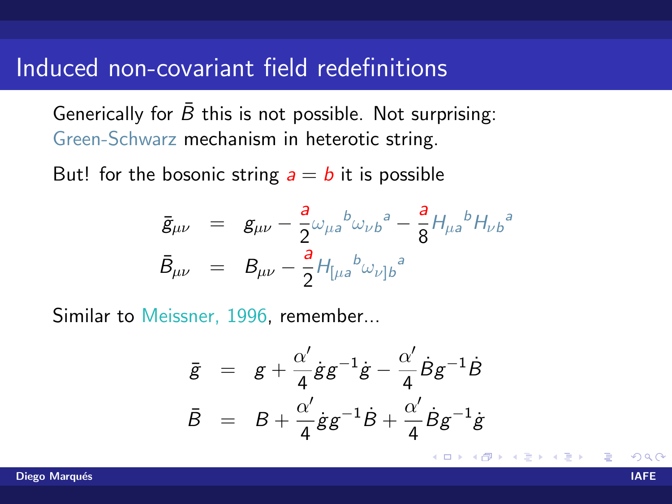### Induced non-covariant field redefinitions

Generically for  $\bar{B}$  this is not possible. Not surprising: Green-Schwarz mechanism in heterotic string.

But! for the bosonic string  $a = b$  it is possible

$$
\begin{array}{rcl}\n\bar{g}_{\mu\nu} & = & g_{\mu\nu} - \frac{a}{2} \omega_{\mu a}{}^{b} \omega_{\nu b}{}^{a} - \frac{a}{8} H_{\mu a}{}^{b} H_{\nu b}{}^{a} \\
\bar{B}_{\mu\nu} & = & B_{\mu\nu} - \frac{a}{2} H_{[\mu a}{}^{b} \omega_{\nu]b}{}^{a}\n\end{array}
$$

Similar to Meissner, 1996, remember...

$$
\begin{array}{rcl}\n\bar{g} & = & g + \frac{\alpha'}{4} \dot{g} g^{-1} \dot{g} - \frac{\alpha'}{4} \dot{B} g^{-1} \dot{B} \\
\bar{B} & = & B + \frac{\alpha'}{4} \dot{g} g^{-1} \dot{B} + \frac{\alpha'}{4} \dot{B} g^{-1} \dot{g}\n\end{array}
$$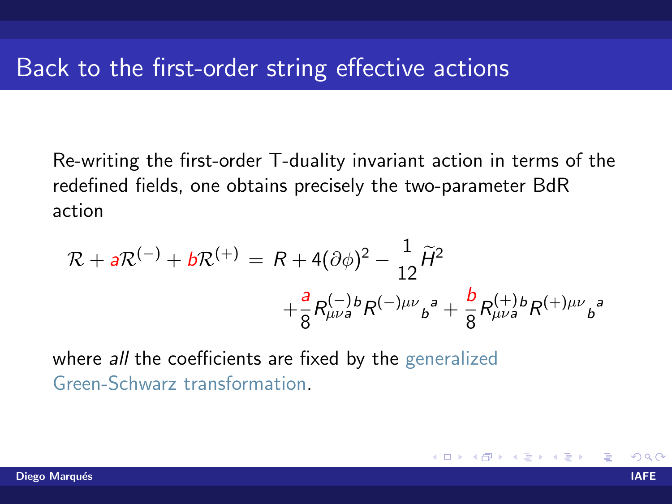Re-writing the first-order T-duality invariant action in terms of the redefined fields, one obtains precisely the two-parameter BdR action

$$
\mathcal{R} + a\mathcal{R}^{(-)} + b\mathcal{R}^{(+)} = R + 4(\partial\phi)^2 - \frac{1}{12}\tilde{H}^2 + \frac{a}{8}R^{(-)b}_{\mu\nu a}R^{(-)\mu\nu}{}_{b}{}^{a} + \frac{b}{8}R^{(+)b}_{\mu\nu a}R^{(+)\mu\nu}{}_{b}{}^{a}
$$

where *all* the coefficients are fixed by the generalized Green-Schwarz transformation.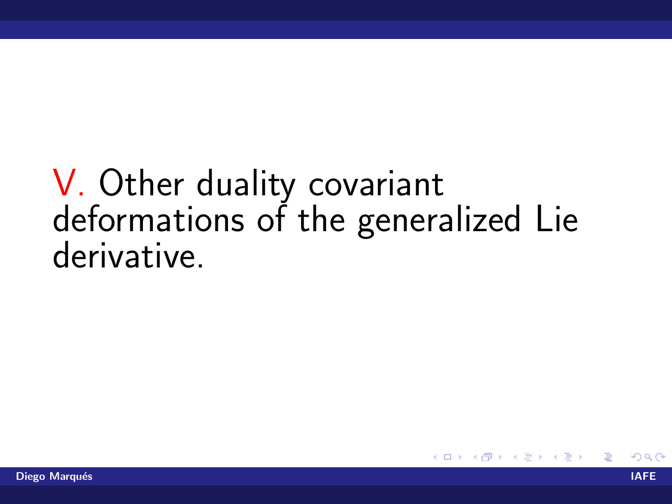# V. Other duality covariant<br>deformations of the generalized Lie derivative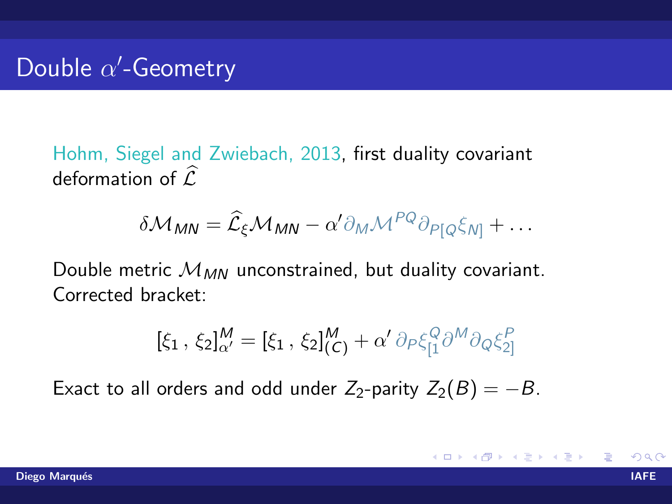Hohm, Siegel and Zwiebach, 2013, first duality covariant deformation of  $\widehat{\mathcal{L}}$ 

$$
\delta \mathcal{M}_{MN} = \widehat{\mathcal{L}}_{\xi} \mathcal{M}_{MN} - \alpha' \partial_M \mathcal{M}^{PQ} \partial_{P[Q} \xi_{N]} + \dots
$$

Double metric  $M_{MN}$  unconstrained, but duality covariant. Corrected bracket:

$$
[\xi_1, \, \xi_2]_{\alpha'}^M = [\xi_1, \, \xi_2]_{(C)}^M + \alpha' \, \partial_P \xi_{[1}^Q \partial^M \partial_Q \xi_{2]}^P
$$

Exact to all orders and odd under  $Z_2$ -parity  $Z_2(B) = -B$ .

K ロト K 倒 ト K ヨ ト K ヨ ト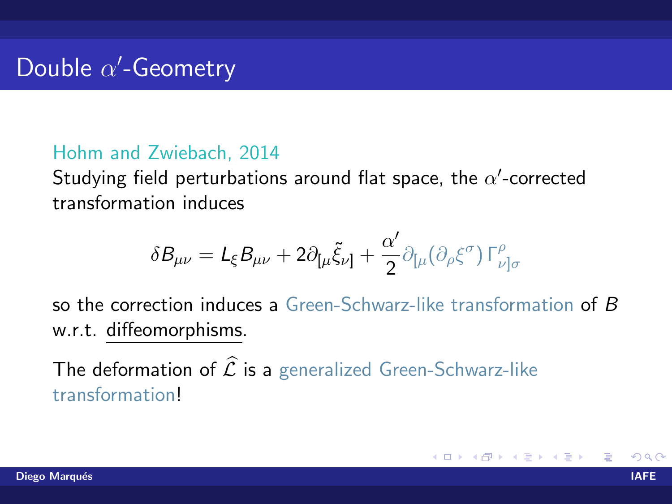#### Hohm and Zwiebach, 2014

Studying field perturbations around flat space, the  $\alpha'$ -corrected transformation induces

$$
\delta B_{\mu\nu} = L_{\xi} B_{\mu\nu} + 2\partial_{\mu} \tilde{\xi}_{\nu\} + \frac{\alpha'}{2} \partial_{\mu} (\partial_{\rho} \xi^{\sigma}) \Gamma^{\rho}_{\nu}{}_{|\sigma}
$$

so the correction induces a Green-Schwarz-like transformation of B w.r.t. diffeomorphisms.

The deformation of  $\hat{\mathcal{L}}$  is a generalized Green-Schwarz-like transformation!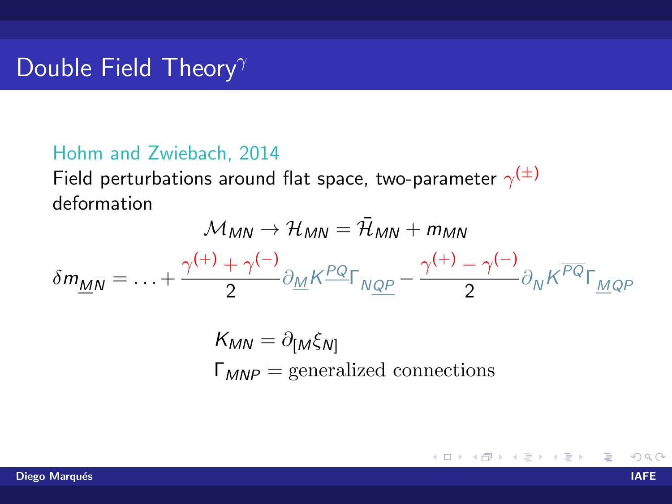### Double Field Theory $\gamma$

#### Hohm and Zwiebach, 2014

Field perturbations around flat space, two-parameter  $\gamma^{(\pm)}$ deformation

$$
\mathcal{M}_{MN} \rightarrow \mathcal{H}_{MN} = \bar{\mathcal{H}}_{MN} + m_{MN}
$$
\n
$$
\delta m_{\underline{M}\overline{N}} = \dots + \frac{\gamma^{(+)} + \gamma^{(-)}}{2} \partial_{\underline{M}} K^{\underline{PQ}} \Gamma_{\overline{N}\underline{QP}} - \frac{\gamma^{(+)} - \gamma^{(-)}}{2} \partial_{\overline{N}} K^{\overline{PQ}} \Gamma_{\underline{M}\overline{QP}}
$$
\n
$$
K_{MN} = \partial_{[M}\xi_{N]}
$$
\n
$$
\Gamma_{MNP} = \text{generalized connections}
$$

メロメ メ母メ メミメ メミメ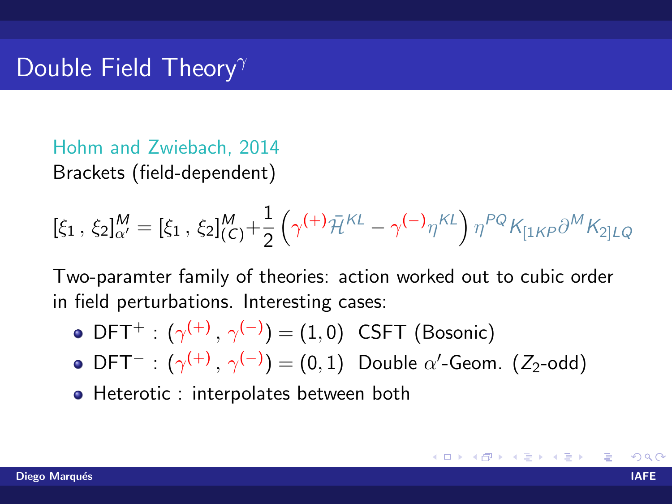Hohm and Zwiebach, 2014 Brackets (field-dependent)

$$
[\xi_1, \xi_2]_{\alpha'}^M = [\xi_1, \xi_2]_{(C)}^M + \frac{1}{2} \left( \gamma^{(+)} \bar{\mathcal{H}}^{KL} - \gamma^{(-)} \eta^{KL} \right) \eta^{PQ} K_{[1KP} \partial^M K_{2]LQ}
$$

Two-paramter family of theories: action worked out to cubic order in field perturbations. Interesting cases:

- $\mathsf{DFT}^+:\,(\gamma^{(+)}\,,\,\gamma^{(-)})=(1,0)\,$  CSFT (Bosonic)
- $\mathsf{DFT}^- : (\gamma^{(+)},\, \gamma^{(-)}) = (0,1)$  Double  $\alpha'$ -Geom. (Z<sub>2</sub>-odd)
- Heterotic : interpolates between both

K ロ ▶ K 倒 ▶ K 듣 ▶ K 듣 ▶ ...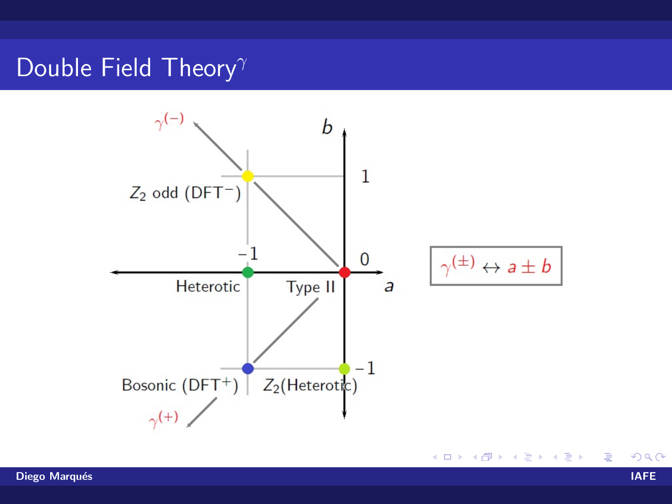### Double Field Theory<sup> $\gamma$ </sup>

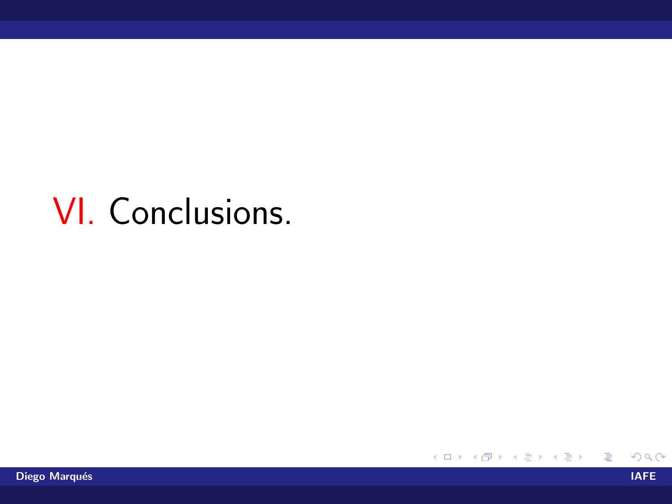# **VI.** Conclusions

目

メロトメ 倒 トメ 君 トメ 君 トー